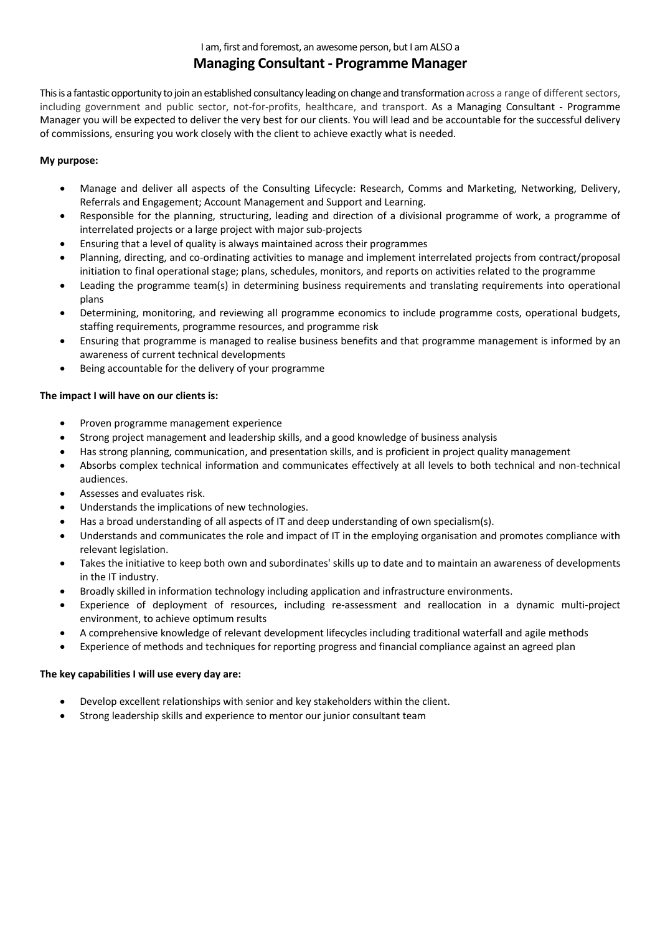# I am, first and foremost, an awesome person, but I am ALSO a **Managing Consultant - Programme Manager**

This is a fantastic opportunity to join an established consultancy leading on change and transformation across a range of different sectors, including government and public sector, not-for-profits, healthcare, and transport. As a Managing Consultant - Programme Manager you will be expected to deliver the very best for our clients. You will lead and be accountable for the successful delivery of commissions, ensuring you work closely with the client to achieve exactly what is needed.

## **My purpose:**

- Manage and deliver all aspects of the Consulting Lifecycle: Research, Comms and Marketing, Networking, Delivery, Referrals and Engagement; Account Management and Support and Learning.
- Responsible for the planning, structuring, leading and direction of a divisional programme of work, a programme of interrelated projects or a large project with major sub-projects
- Ensuring that a level of quality is always maintained across their programmes
- Planning, directing, and co-ordinating activities to manage and implement interrelated projects from contract/proposal initiation to final operational stage; plans, schedules, monitors, and reports on activities related to the programme
- Leading the programme team(s) in determining business requirements and translating requirements into operational plans
- Determining, monitoring, and reviewing all programme economics to include programme costs, operational budgets, staffing requirements, programme resources, and programme risk
- Ensuring that programme is managed to realise business benefits and that programme management is informed by an awareness of current technical developments
- Being accountable for the delivery of your programme

## **The impact I will have on our clients is:**

- Proven programme management experience
- Strong project management and leadership skills, and a good knowledge of business analysis
- Has strong planning, communication, and presentation skills, and is proficient in project quality management
- Absorbs complex technical information and communicates effectively at all levels to both technical and non-technical audiences.
- Assesses and evaluates risk.
- Understands the implications of new technologies.
- Has a broad understanding of all aspects of IT and deep understanding of own specialism(s).
- Understands and communicates the role and impact of IT in the employing organisation and promotes compliance with relevant legislation.
- Takes the initiative to keep both own and subordinates' skills up to date and to maintain an awareness of developments in the IT industry.
- Broadly skilled in information technology including application and infrastructure environments.
- Experience of deployment of resources, including re-assessment and reallocation in a dynamic multi-project environment, to achieve optimum results
- A comprehensive knowledge of relevant development lifecycles including traditional waterfall and agile methods
- Experience of methods and techniques for reporting progress and financial compliance against an agreed plan

### **The key capabilities I will use every day are:**

- Develop excellent relationships with senior and key stakeholders within the client.
- Strong leadership skills and experience to mentor our junior consultant team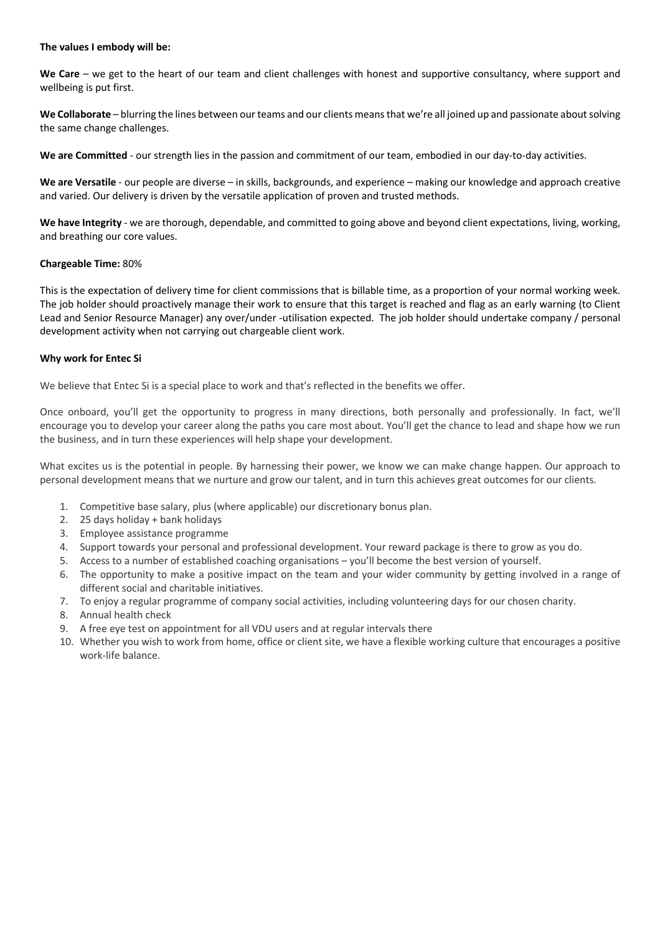#### **The values I embody will be:**

**We Care** – we get to the heart of our team and client challenges with honest and supportive consultancy, where support and wellbeing is put first.

**We Collaborate** – blurring the lines between our teams and our clients means that we're all joined up and passionate about solving the same change challenges.

We are Committed - our strength lies in the passion and commitment of our team, embodied in our day-to-day activities.

**We are Versatile** - our people are diverse – in skills, backgrounds, and experience – making our knowledge and approach creative and varied. Our delivery is driven by the versatile application of proven and trusted methods.

**We have Integrity** - we are thorough, dependable, and committed to going above and beyond client expectations, living, working, and breathing our core values.

#### **Chargeable Time:** 80%

This is the expectation of delivery time for client commissions that is billable time, as a proportion of your normal working week. The job holder should proactively manage their work to ensure that this target is reached and flag as an early warning (to Client Lead and Senior Resource Manager) any over/under -utilisation expected. The job holder should undertake company / personal development activity when not carrying out chargeable client work.

### **Why work for Entec Si**

We believe that Entec Si is a special place to work and that's reflected in the benefits we offer.

Once onboard, you'll get the opportunity to progress in many directions, both personally and professionally. In fact, we'll encourage you to develop your career along the paths you care most about. You'll get the chance to lead and shape how we run the business, and in turn these experiences will help shape your development.

What excites us is the potential in people. By harnessing their power, we know we can make change happen. Our approach to personal development means that we nurture and grow our talent, and in turn this achieves great outcomes for our clients.

- 1. Competitive base salary, plus (where applicable) our discretionary bonus plan.
- 2. 25 days holiday + bank holidays
- 3. Employee assistance programme
- 4. Support towards your personal and professional development. Your reward package is there to grow as you do.
- 5. Access to a number of established coaching organisations you'll become the best version of yourself.
- 6. The opportunity to make a positive impact on the team and your wider community by getting involved in a range of different social and charitable initiatives.
- 7. To enjoy a regular programme of company social activities, including volunteering days for our chosen charity.
- 8. Annual health check
- 9. A free eye test on appointment for all VDU users and at regular intervals there
- 10. Whether you wish to work from home, office or client site, we have a flexible working culture that encourages a positive work-life balance.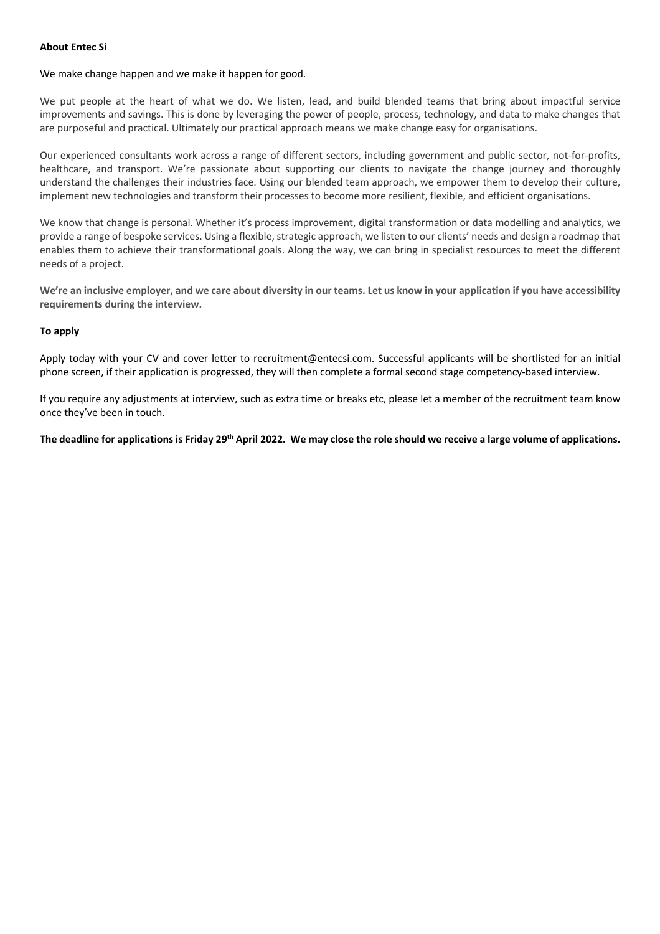#### **About Entec Si**

We make change happen and we make it happen for good.

We put people at the heart of what we do. We listen, lead, and build blended teams that bring about impactful service improvements and savings. This is done by leveraging the power of people, process, technology, and data to make changes that are purposeful and practical. Ultimately our practical approach means we make change easy for organisations.

Our experienced consultants work across a range of different sectors, including government and public sector, not-for-profits, healthcare, and transport. We're passionate about supporting our clients to navigate the change journey and thoroughly understand the challenges their industries face. Using our blended team approach, we empower them to develop their culture, implement new technologies and transform their processes to become more resilient, flexible, and efficient organisations.

We know that change is personal. Whether it's process improvement, digital transformation or data modelling and analytics, we provide a range of bespoke services. Using a flexible, strategic approach, we listen to our clients' needs and design a roadmap that enables them to achieve their transformational goals. Along the way, we can bring in specialist resources to meet the different needs of a project.

**We're an inclusive employer, and we care about diversity in our teams. Let us know in your application if you have accessibility requirements during the interview.**

#### **To apply**

Apply today with your CV and cover letter to recruitment@entecsi.com. Successful applicants will be shortlisted for an initial phone screen, if their application is progressed, they will then complete a formal second stage competency-based interview.

If you require any adjustments at interview, such as extra time or breaks etc, please let a member of the recruitment team know once they've been in touch.

**The deadline for applications is Friday 29th April 2022. We may close the role should we receive a large volume of applications.**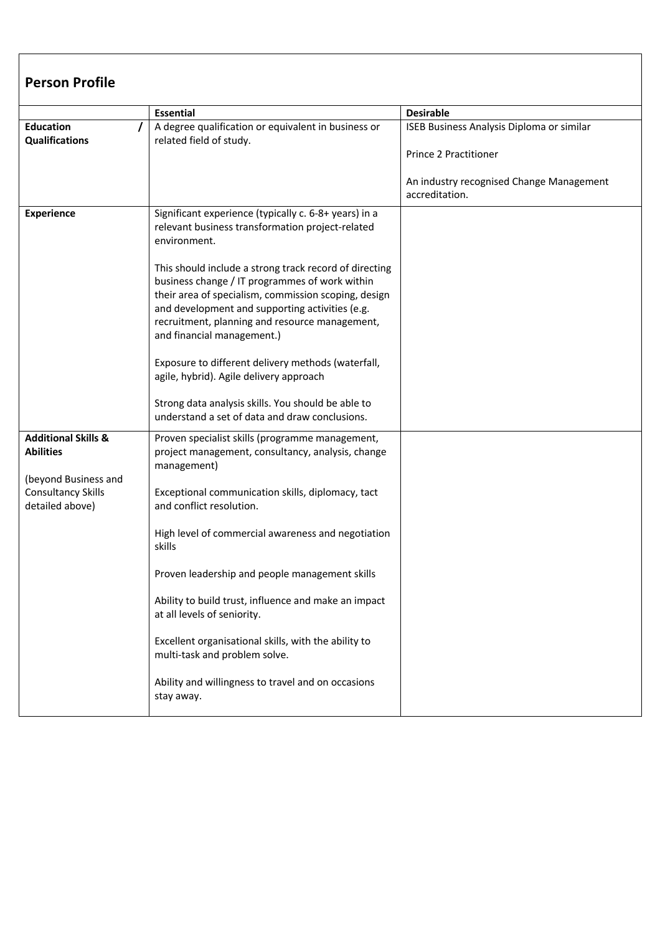| <b>Person Profile</b>                                                                                                      |                                                                                                                                                                                                                                                                                                                                                                                                                                                                                                                                                                                                                                           |                                                                                                                                  |  |
|----------------------------------------------------------------------------------------------------------------------------|-------------------------------------------------------------------------------------------------------------------------------------------------------------------------------------------------------------------------------------------------------------------------------------------------------------------------------------------------------------------------------------------------------------------------------------------------------------------------------------------------------------------------------------------------------------------------------------------------------------------------------------------|----------------------------------------------------------------------------------------------------------------------------------|--|
|                                                                                                                            | <b>Essential</b>                                                                                                                                                                                                                                                                                                                                                                                                                                                                                                                                                                                                                          | <b>Desirable</b>                                                                                                                 |  |
| <b>Education</b><br><b>Qualifications</b>                                                                                  | A degree qualification or equivalent in business or<br>related field of study.                                                                                                                                                                                                                                                                                                                                                                                                                                                                                                                                                            | ISEB Business Analysis Diploma or similar<br>Prince 2 Practitioner<br>An industry recognised Change Management<br>accreditation. |  |
| <b>Experience</b>                                                                                                          | Significant experience (typically c. 6-8+ years) in a<br>relevant business transformation project-related<br>environment.<br>This should include a strong track record of directing<br>business change / IT programmes of work within<br>their area of specialism, commission scoping, design<br>and development and supporting activities (e.g.<br>recruitment, planning and resource management,<br>and financial management.)<br>Exposure to different delivery methods (waterfall,<br>agile, hybrid). Agile delivery approach<br>Strong data analysis skills. You should be able to<br>understand a set of data and draw conclusions. |                                                                                                                                  |  |
| <b>Additional Skills &amp;</b><br><b>Abilities</b><br>(beyond Business and<br><b>Consultancy Skills</b><br>detailed above) | Proven specialist skills (programme management,<br>project management, consultancy, analysis, change<br>management)<br>Exceptional communication skills, diplomacy, tact<br>and conflict resolution.<br>High level of commercial awareness and negotiation<br>skills<br>Proven leadership and people management skills<br>Ability to build trust, influence and make an impact<br>at all levels of seniority.<br>Excellent organisational skills, with the ability to<br>multi-task and problem solve.<br>Ability and willingness to travel and on occasions<br>stay away.                                                                |                                                                                                                                  |  |

Г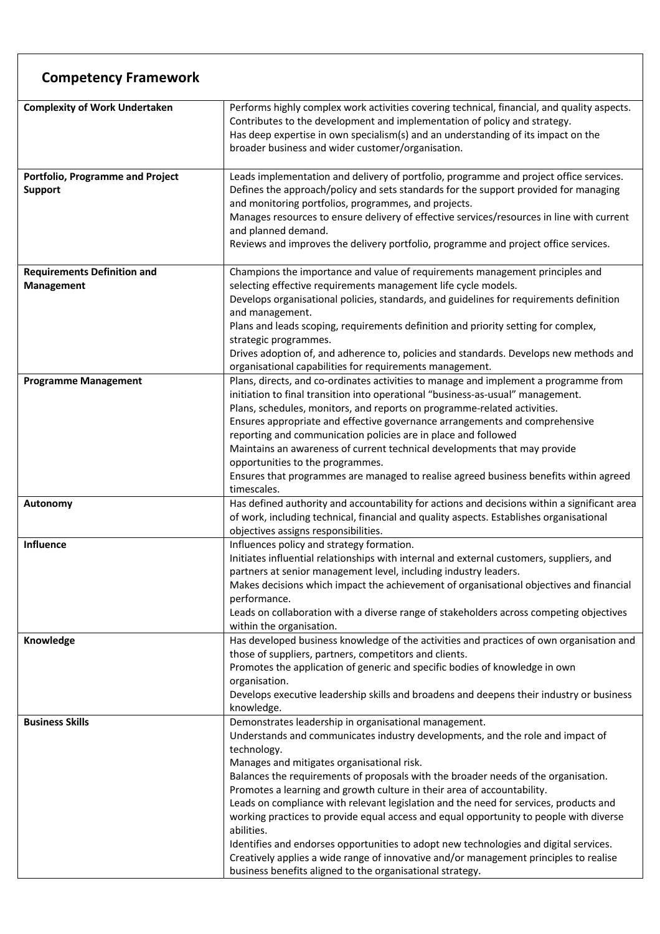| <b>Competency Framework</b>                        |                                                                                                                                                                                                                                                                                                                                                                                                                                                                                                                                                                                                                                                                                                                                                                                                                       |  |
|----------------------------------------------------|-----------------------------------------------------------------------------------------------------------------------------------------------------------------------------------------------------------------------------------------------------------------------------------------------------------------------------------------------------------------------------------------------------------------------------------------------------------------------------------------------------------------------------------------------------------------------------------------------------------------------------------------------------------------------------------------------------------------------------------------------------------------------------------------------------------------------|--|
| <b>Complexity of Work Undertaken</b>               | Performs highly complex work activities covering technical, financial, and quality aspects.<br>Contributes to the development and implementation of policy and strategy.<br>Has deep expertise in own specialism(s) and an understanding of its impact on the<br>broader business and wider customer/organisation.                                                                                                                                                                                                                                                                                                                                                                                                                                                                                                    |  |
| Portfolio, Programme and Project<br><b>Support</b> | Leads implementation and delivery of portfolio, programme and project office services.<br>Defines the approach/policy and sets standards for the support provided for managing<br>and monitoring portfolios, programmes, and projects.<br>Manages resources to ensure delivery of effective services/resources in line with current<br>and planned demand.<br>Reviews and improves the delivery portfolio, programme and project office services.                                                                                                                                                                                                                                                                                                                                                                     |  |
| <b>Requirements Definition and</b><br>Management   | Champions the importance and value of requirements management principles and<br>selecting effective requirements management life cycle models.<br>Develops organisational policies, standards, and guidelines for requirements definition<br>and management.<br>Plans and leads scoping, requirements definition and priority setting for complex,<br>strategic programmes.<br>Drives adoption of, and adherence to, policies and standards. Develops new methods and<br>organisational capabilities for requirements management.                                                                                                                                                                                                                                                                                     |  |
| <b>Programme Management</b>                        | Plans, directs, and co-ordinates activities to manage and implement a programme from<br>initiation to final transition into operational "business-as-usual" management.<br>Plans, schedules, monitors, and reports on programme-related activities.<br>Ensures appropriate and effective governance arrangements and comprehensive<br>reporting and communication policies are in place and followed<br>Maintains an awareness of current technical developments that may provide<br>opportunities to the programmes.<br>Ensures that programmes are managed to realise agreed business benefits within agreed<br>timescales.                                                                                                                                                                                         |  |
| Autonomy                                           | Has defined authority and accountability for actions and decisions within a significant area<br>of work, including technical, financial and quality aspects. Establishes organisational<br>objectives assigns responsibilities.                                                                                                                                                                                                                                                                                                                                                                                                                                                                                                                                                                                       |  |
| <b>Influence</b>                                   | Influences policy and strategy formation.<br>Initiates influential relationships with internal and external customers, suppliers, and<br>partners at senior management level, including industry leaders.<br>Makes decisions which impact the achievement of organisational objectives and financial<br>performance.<br>Leads on collaboration with a diverse range of stakeholders across competing objectives<br>within the organisation.                                                                                                                                                                                                                                                                                                                                                                           |  |
| Knowledge                                          | Has developed business knowledge of the activities and practices of own organisation and<br>those of suppliers, partners, competitors and clients.<br>Promotes the application of generic and specific bodies of knowledge in own<br>organisation.<br>Develops executive leadership skills and broadens and deepens their industry or business<br>knowledge.                                                                                                                                                                                                                                                                                                                                                                                                                                                          |  |
| <b>Business Skills</b>                             | Demonstrates leadership in organisational management.<br>Understands and communicates industry developments, and the role and impact of<br>technology.<br>Manages and mitigates organisational risk.<br>Balances the requirements of proposals with the broader needs of the organisation.<br>Promotes a learning and growth culture in their area of accountability.<br>Leads on compliance with relevant legislation and the need for services, products and<br>working practices to provide equal access and equal opportunity to people with diverse<br>abilities.<br>Identifies and endorses opportunities to adopt new technologies and digital services.<br>Creatively applies a wide range of innovative and/or management principles to realise<br>business benefits aligned to the organisational strategy. |  |

 $\overline{\phantom{a}}$